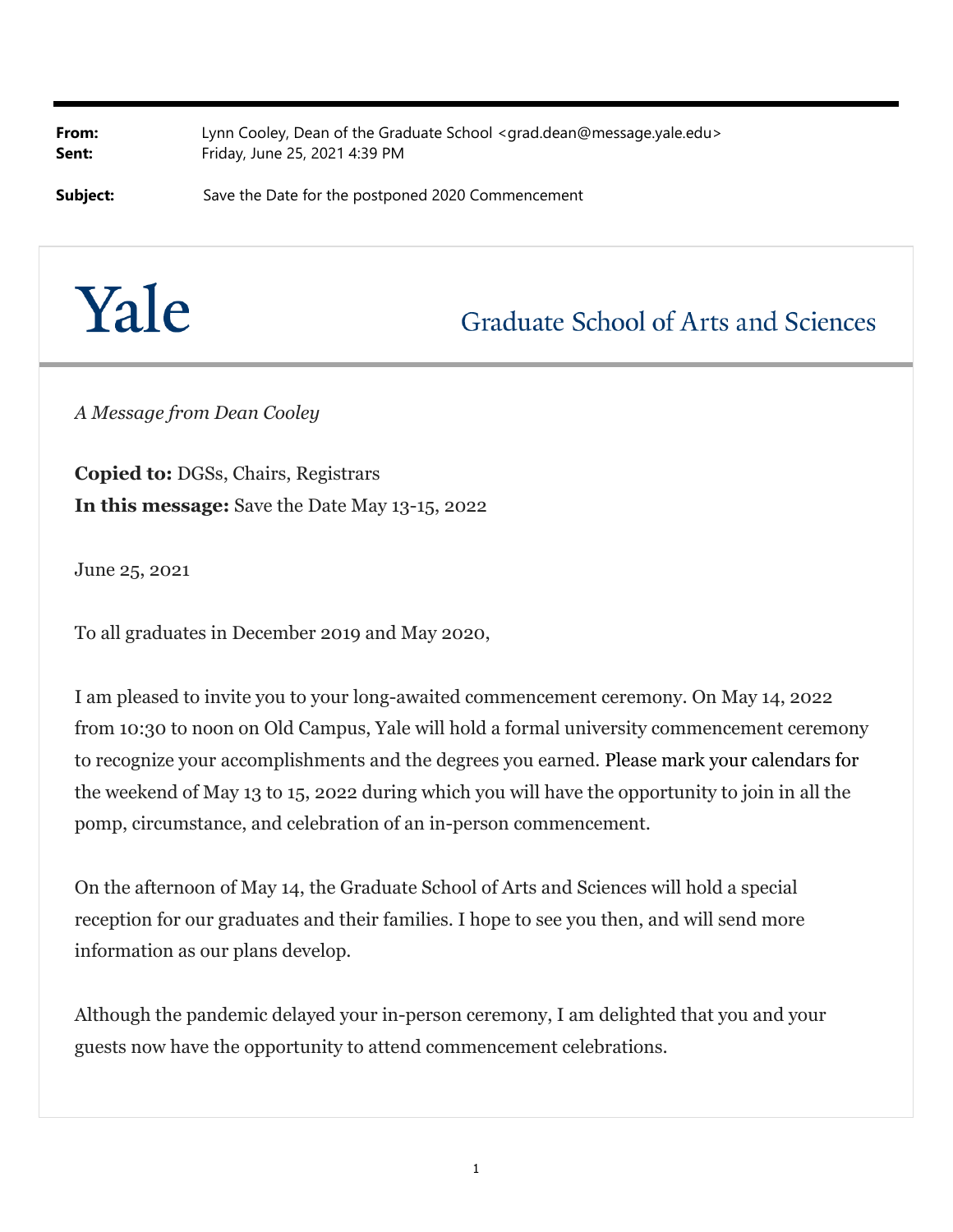**From:** Lynn Cooley, Dean of the Graduate School <grad.dean@message.yale.edu> **Sent:** Friday, June 25, 2021 4:39 PM

**Subject:** Save the Date for the postponed 2020 Commencement

## Yale

## **Graduate School of Arts and Sciences**

*A Message from Dean Cooley*

**Copied to:** DGSs, Chairs, Registrars **In this message:** Save the Date May 13-15, 2022

June 25, 2021

To all graduates in December 2019 and May 2020,

I am pleased to invite you to your long-awaited commencement ceremony. On May 14, 2022 from 10:30 to noon on Old Campus, Yale will hold a formal university commencement ceremony to recognize your accomplishments and the degrees you earned. Please mark your calendars for the weekend of May 13 to 15, 2022 during which you will have the opportunity to join in all the pomp, circumstance, and celebration of an in-person commencement.

On the afternoon of May 14, the Graduate School of Arts and Sciences will hold a special reception for our graduates and their families. I hope to see you then, and will send more information as our plans develop.

Although the pandemic delayed your in-person ceremony, I am delighted that you and your guests now have the opportunity to attend commencement celebrations.